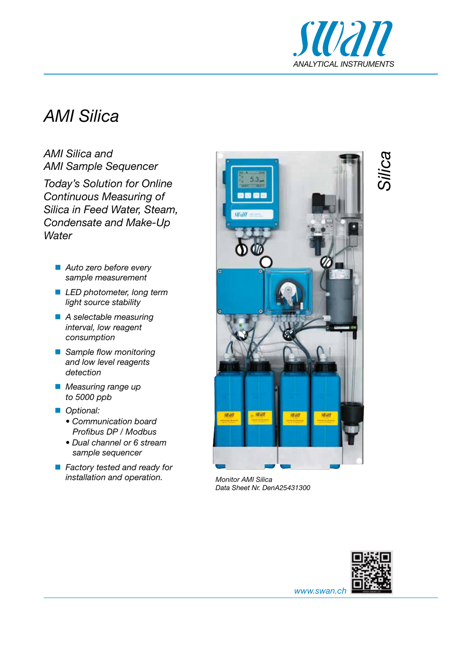

*Silica*

## *AMI Silica*

*AMI Silica and AMI Sample Sequencer*

*Today's Solution for Online Continuous Measuring of Silica in Feed Water, Steam, Condensate and Make-Up Water*

- *Auto zero before every sample measurement*
- *LED photometer, long term light source stability*
- *A selectable measuring interval, low reagent consumption*
- *Sample flow monitoring and low level reagents detection*
- *Measuring range up to 5000 ppb*
- Optional:
	- *Communication board Profibus DP / Modbus*
	- *Dual channel or 6 stream sample sequencer*
- *Factory tested and ready for installation and operation. Monitor AMI Silica*



*Data Sheet Nr. DenA25431300*